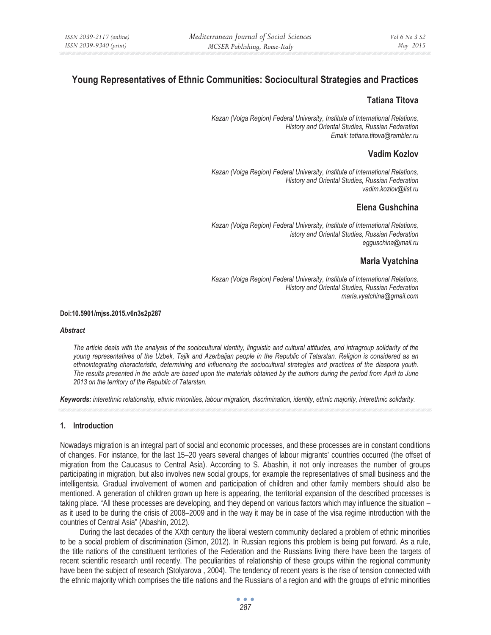# **Young Representatives of Ethnic Communities: Sociocultural Strategies and Practices**

## **Tatiana Titova**

*Kazan (Volga Region) Federal University, Institute of International Relations, History and Oriental Studies, Russian Federation Email: tatiana.titova@rambler.ru* 

# **Vadim Kozlov**

*Kazan (Volga Region) Federal University, Institute of International Relations, History and Oriental Studies, Russian Federation vadim.kozlov@list.ru* 

# **Elena Gushchina**

*Kazan (Volga Region) Federal University, Institute of International Relations, istory and Oriental Studies, Russian Federation egguschina@mail.ru* 

# **Maria Vyatchina**

*Kazan (Volga Region) Federal University, Institute of International Relations, History and Oriental Studies, Russian Federation maria.vyatchina@gmail.com* 

#### **Doi:10.5901/mjss.2015.v6n3s2p287**

#### *Abstract*

*The article deals with the analysis of the sociocultural identity, linguistic and cultural attitudes, and intragroup solidarity of the young representatives of the Uzbek, Tajik and Azerbaijan people in the Republic of Tatarstan. Religion is considered as an ethnointegrating characteristic, determining and influencing the sociocultural strategies and practices of the diaspora youth. The results presented in the article are based upon the materials obtained by the authors during the period from April to June 2013 on the territory of the Republic of Tatarstan.* 

*Keywords: interethnic relationship, ethnic minorities, labour migration, discrimination, identity, ethnic majority, interethnic solidarity.* 

## **1. Introduction**

Nowadays migration is an integral part of social and economic processes, and these processes are in constant conditions of changes. For instance, for the last 15–20 years several changes of labour migrants' countries occurred (the offset of migration from the Caucasus to Central Asia). According to S. Abashin, it not only increases the number of groups participating in migration, but also involves new social groups, for example the representatives of small business and the intelligentsia. Gradual involvement of women and participation of children and other family members should also be mentioned. A generation of children grown up here is appearing, the territorial expansion of the described processes is taking place. "All these processes are developing, and they depend on various factors which may influence the situation – as it used to be during the crisis of 2008–2009 and in the way it may be in case of the visa regime introduction with the countries of Central Asia" (Abashin, 2012).

During the last decades of the XXth century the liberal western community declared a problem of ethnic minorities to be a social problem of discrimination (Simon, 2012). In Russian regions this problem is being put forward. As a rule, the title nations of the constituent territories of the Federation and the Russians living there have been the targets of recent scientific research until recently. The peculiarities of relationship of these groups within the regional community have been the subject of research (Stolyarova , 2004). The tendency of recent years is the rise of tension connected with the ethnic majority which comprises the title nations and the Russians of a region and with the groups of ethnic minorities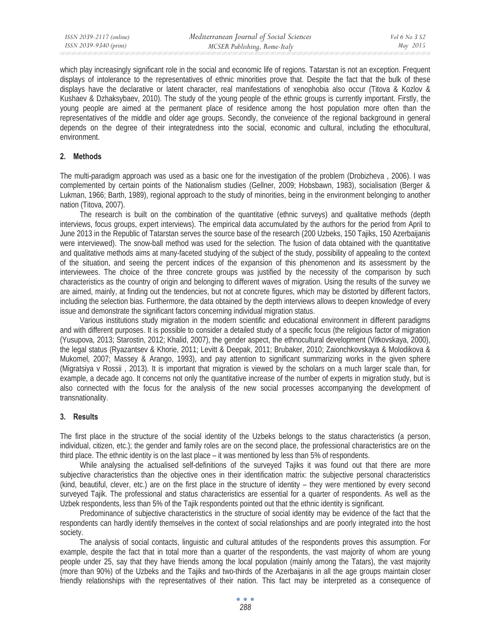which play increasingly significant role in the social and economic life of regions. Tatarstan is not an exception. Frequent displays of intolerance to the representatives of ethnic minorities prove that. Despite the fact that the bulk of these displays have the declarative or latent character, real manifestations of xenophobia also occur (Titova & Kozlov & Kushaev & Dzhaksybaev, 2010). The study of the young people of the ethnic groups is currently important. Firstly, the young people are aimed at the permanent place of residence among the host population more often than the representatives of the middle and older age groups. Secondly, the conveience of the regional background in general depends on the degree of their integratedness into the social, economic and cultural, including the ethocultural, environment.

#### **2. Methods**

The multi-paradigm approach was used as a basic one for the investigation of the problem (Drobizheva , 2006). I was complemented by certain points of the Nationalism studies (Gellner, 2009; Hobsbawn, 1983), socialisation (Berger & Lukman, 1966; Barth, 1989), regional approach to the study of minorities, being in the environment belonging to another nation (Titova, 2007).

The research is built on the combination of the quantitative (ethnic surveys) and qualitative methods (depth interviews, focus groups, expert interviews). The empirical data accumulated by the authors for the period from April to June 2013 in the Republic of Tatarstan serves the source base of the research (200 Uzbeks, 150 Tajiks, 150 Azerbaijanis were interviewed). The snow-ball method was used for the selection. The fusion of data obtained with the quantitative and qualitative methods aims at many-faceted studying of the subject of the study, possibility of appealing to the context of the situation, and seeing the percent indices of the expansion of this phenomenon and its assessment by the interviewees. The choice of the three concrete groups was justified by the necessity of the comparison by such characteristics as the country of origin and belonging to different waves of migration. Using the results of the survey we are aimed, mainly, at finding out the tendencies, but not at concrete figures, which may be distorted by different factors, including the selection bias. Furthermore, the data obtained by the depth interviews allows to deepen knowledge of every issue and demonstrate the significant factors concerning individual migration status.

Various institutions study migration in the modern scientific and educational environment in different paradigms and with different purposes. It is possible to consider a detailed study of a specific focus (the religious factor of migration (Yusupova, 2013; Starostin, 2012; Khalid, 2007), the gender aspect, the ethnocultural development (Vitkovskaya, 2000), the legal status (Ryazantsev & Khorie, 2011; Levitt & Deepak, 2011; Brubaker, 2010; Zaionchkovskaya & Molodikova & Mukomel, 2007; Massey & Arango, 1993), and pay attention to significant summarizing works in the given sphere (Migratsiya v Rossii , 2013). It is important that migration is viewed by the scholars on a much larger scale than, for example, a decade ago. It concerns not only the quantitative increase of the number of experts in migration study, but is also connected with the focus for the analysis of the new social processes accompanying the development of transnationality.

#### **3. Results**

The first place in the structure of the social identity of the Uzbeks belongs to the status characteristics (a person, individual, citizen, etc.); the gender and family roles are on the second place, the professional characteristics are on the third place. The ethnic identity is on the last place – it was mentioned by less than 5% of respondents.

While analysing the actualised self-definitions of the surveyed Tajiks it was found out that there are more subjective characteristics than the objective ones in their identification matrix: the subjective personal characteristics (kind, beautiful, clever, etc.) are on the first place in the structure of identity – they were mentioned by every second surveyed Tajik. The professional and status characteristics are essential for a quarter of respondents. As well as the Uzbek respondents, less than 5% of the Tajik respondents pointed out that the ethnic identity is significant.

Predominance of subjective characteristics in the structure of social identity may be evidence of the fact that the respondents can hardly identify themselves in the context of social relationships and are poorly integrated into the host society.

The analysis of social contacts, linguistic and cultural attitudes of the respondents proves this assumption. For example, despite the fact that in total more than a quarter of the respondents, the vast majority of whom are young people under 25, say that they have friends among the local population (mainly among the Tatars), the vast majority (more than 90%) of the Uzbeks and the Tajiks and two-thirds of the Azerbaijanis in all the age groups maintain closer friendly relationships with the representatives of their nation. This fact may be interpreted as a consequence of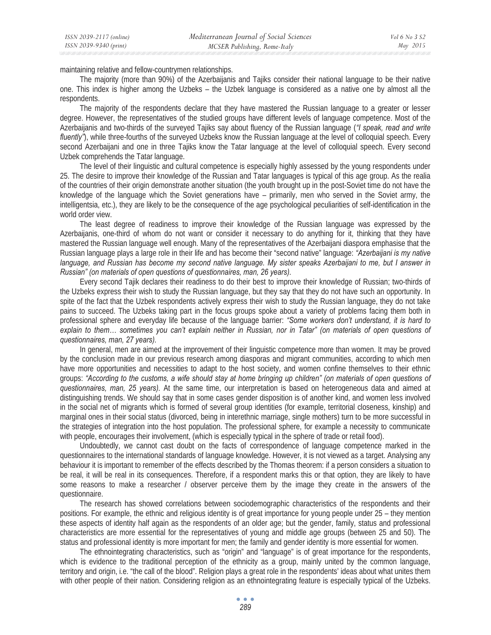maintaining relative and fellow-countrymen relationships.

The majority (more than 90%) of the Azerbaijanis and Tajiks consider their national language to be their native one. This index is higher among the Uzbeks – the Uzbek language is considered as a native one by almost all the respondents.

The majority of the respondents declare that they have mastered the Russian language to a greater or lesser degree. However, the representatives of the studied groups have different levels of language competence. Most of the Azerbaijanis and two-thirds of the surveyed Tajiks say about fluency of the Russian language (*"I speak, read and write fluently"*), while three-fourths of the surveyed Uzbeks know the Russian language at the level of colloquial speech. Every second Azerbaijani and one in three Tajiks know the Tatar language at the level of colloquial speech. Every second Uzbek comprehends the Tatar language.

The level of their linguistic and cultural competence is especially highly assessed by the young respondents under 25. The desire to improve their knowledge of the Russian and Tatar languages is typical of this age group. As the realia of the countries of their origin demonstrate another situation (the youth brought up in the post-Soviet time do not have the knowledge of the language which the Soviet generations have – primarily, men who served in the Soviet army, the intelligentsia, etc.), they are likely to be the consequence of the age psychological peculiarities of self-identification in the world order view.

The least degree of readiness to improve their knowledge of the Russian language was expressed by the Azerbaijanis, one-third of whom do not want or consider it necessary to do anything for it, thinking that they have mastered the Russian language well enough. Many of the representatives of the Azerbaijani diaspora emphasise that the Russian language plays a large role in their life and has become their "second native" language: *"Azerbaijani is my native language, and Russian has become my second native language. My sister speaks Azerbaijani to me, but I answer in Russian" (on materials of open questions of questionnaires, man, 26 years).*

Every second Tajik declares their readiness to do their best to improve their knowledge of Russian; two-thirds of the Uzbeks express their wish to study the Russian language, but they say that they do not have such an opportunity. In spite of the fact that the Uzbek respondents actively express their wish to study the Russian language, they do not take pains to succeed. The Uzbeks taking part in the focus groups spoke about a variety of problems facing them both in professional sphere and everyday life because of the language barrier: *"Some workers don't understand, it is hard to*  explain to them... sometimes you can't explain neither in Russian, nor in Tatar" (on materials of open questions of *questionnaires, man, 27 years).* 

In general, men are aimed at the improvement of their linguistic competence more than women. It may be proved by the conclusion made in our previous research among diasporas and migrant communities, according to which men have more opportunities and necessities to adapt to the host society, and women confine themselves to their ethnic groups: *"According to the customs, a wife should stay at home bringing up children" (on materials of open questions of questionnaires, man, 25 years).* At the same time, our interpretation is based on heterogeneous data and aimed at distinguishing trends. We should say that in some cases gender disposition is of another kind, and women less involved in the social net of migrants which is formed of several group identities (for example, territorial closeness, kinship) and marginal ones in their social status (divorced, being in interethnic marriage, single mothers) turn to be more successful in the strategies of integration into the host population. The professional sphere, for example a necessity to communicate with people, encourages their involvement, (which is especially typical in the sphere of trade or retail food).

Undoubtedly, we cannot cast doubt on the facts of correspondence of language competence marked in the questionnaires to the international standards of language knowledge. However, it is not viewed as a target. Analysing any behaviour it is important to remember of the effects described by the Thomas theorem: if a person considers a situation to be real, it will be real in its consequences. Therefore, if a respondent marks this or that option, they are likely to have some reasons to make a researcher / observer perceive them by the image they create in the answers of the questionnaire.

The research has showed correlations between sociodemographic characteristics of the respondents and their positions. For example, the ethnic and religious identity is of great importance for young people under 25 – they mention these aspects of identity half again as the respondents of an older age; but the gender, family, status and professional characteristics are more essential for the representatives of young and middle age groups (between 25 and 50). The status and professional identity is more important for men; the family and gender identity is more essential for women.

The ethnointegrating characteristics, such as "origin" and "language" is of great importance for the respondents, which is evidence to the traditional perception of the ethnicity as a group, mainly united by the common language, territory and origin, i.e. "the call of the blood". Religion plays a great role in the respondents' ideas about what unites them with other people of their nation. Considering religion as an ethnointegrating feature is especially typical of the Uzbeks.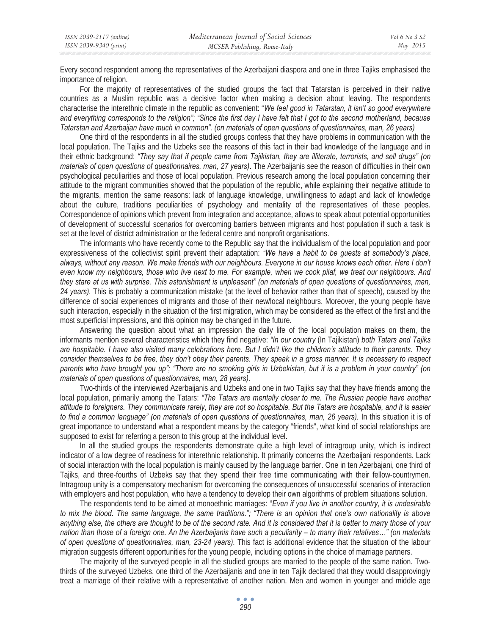| ISSN 2039-2117 (online) | Mediterranean Journal of Social Sciences | <i>Vol</i> 6 No 3 S2 |
|-------------------------|------------------------------------------|----------------------|
| ISSN 2039-9340 (print)  | MCSER Publishing, Rome-Italy             | May 2015             |

Every second respondent among the representatives of the Azerbaijani diaspora and one in three Tajiks emphasised the importance of religion.

For the majority of representatives of the studied groups the fact that Tatarstan is perceived in their native countries as a Muslim republic was a decisive factor when making a decision about leaving. The respondents characterise the interethnic climate in the republic as convenient: "*We feel good in Tatarstan, it isn't so good everywhere and everything corresponds to the religion"; "Since the first day I have felt that I got to the second motherland, because Tatarstan and Azerbaijan have much in common". (on materials of open questions of questionnaires, man, 26 years)* 

One third of the respondents in all the studied groups confess that they have problems in communication with the local population. The Tajiks and the Uzbeks see the reasons of this fact in their bad knowledge of the language and in their ethnic background: *"They say that if people came from Tajikistan, they are illiterate, terrorists, and sell drugs" (on materials of open questions of questionnaires, man, 27 years)*. The Azerbaijanis see the reason of difficulties in their own psychological peculiarities and those of local population. Previous research among the local population concerning their attitude to the migrant communities showed that the population of the republic, while explaining their negative attitude to the migrants, mention the same reasons: lack of language knowledge, unwillingness to adapt and lack of knowledge about the culture, traditions peculiarities of psychology and mentality of the representatives of these peoples. Correspondence of opinions which prevent from integration and acceptance, allows to speak about potential opportunities of development of successful scenarios for overcoming barriers between migrants and host population if such a task is set at the level of district administration or the federal centre and nonprofit organisations.

The informants who have recently come to the Republic say that the individualism of the local population and poor expressiveness of the collectivist spirit prevent their adaptation: *"We have a habit to be guests at somebody's place, always, without any reason. We make friends with our neighbours. Everyone in our house knows each other. Here I don't even know my neighbours, those who live next to me. For example, when we cook pilaf, we treat our neighbours. And they stare at us with surprise. This astonishment is unpleasant" (on materials of open questions of questionnaires, man, 24 years).* This is probably a communication mistake (at the level of behavior rather than that of speech), caused by the difference of social experiences of migrants and those of their new/local neighbours. Moreover, the young people have such interaction, especially in the situation of the first migration, which may be considered as the effect of the first and the most superficial impressions, and this opinion may be changed in the future.

Answering the question about what an impression the daily life of the local population makes on them, the informants mention several characteristics which they find negative: *"In our country* (In Tajikistan) *both Tatars and Tajiks are hospitable. I have also visited many celebrations here. But I didn't like the children's attitude to their parents. They consider themselves to be free, they don't obey their parents. They speak in a gross manner. It is necessary to respect parents who have brought you up"; "There are no smoking girls in Uzbekistan, but it is a problem in your country" (on materials of open questions of questionnaires, man, 28 years).* 

Two-thirds of the interviewed Azerbaijanis and Uzbeks and one in two Tajiks say that they have friends among the local population, primarily among the Tatars: "The Tatars are mentally closer to me. The Russian people have another *attitude to foreigners. They communicate rarely, they are not so hospitable. But the Tatars are hospitable, and it is easier to find a common language" (on materials of open questions of questionnaires, man, 26 years).* In this situation it is of great importance to understand what a respondent means by the category "friends", what kind of social relationships are supposed to exist for referring a person to this group at the individual level.

In all the studied groups the respondents demonstrate quite a high level of intragroup unity, which is indirect indicator of a low degree of readiness for interethnic relationship. It primarily concerns the Azerbaijani respondents. Lack of social interaction with the local population is mainly caused by the language barrier. One in ten Azerbajani, one third of Tajiks, and three-fourths of Uzbeks say that they spend their free time communicating with their fellow-countrymen. Intragroup unity is a compensatory mechanism for overcoming the consequences of unsuccessful scenarios of interaction with employers and host population, who have a tendency to develop their own algorithms of problem situations solution.

The respondents tend to be aimed at monoethnic marriages: "*Even if you live in another country, it is undesirable to mix the blood. The same language, the same traditions."; "There is an opinion that one's own nationality is above anything else, the others are thought to be of the second rate. And it is considered that it is better to marry those of your nation than those of a foreign one. An the Azerbaijanis have such a peculiarity – to marry their relatives…" (on materials of open questions of questionnaires, man, 23-24 years).* This fact is additional evidence that the situation of the labour migration suggests different opportunities for the young people, including options in the choice of marriage partners.

The majority of the surveyed people in all the studied groups are married to the people of the same nation. Twothirds of the surveyed Uzbeks, one third of the Azerbaijanis and one in ten Tajik declared that they would disapprovingly treat a marriage of their relative with a representative of another nation. Men and women in younger and middle age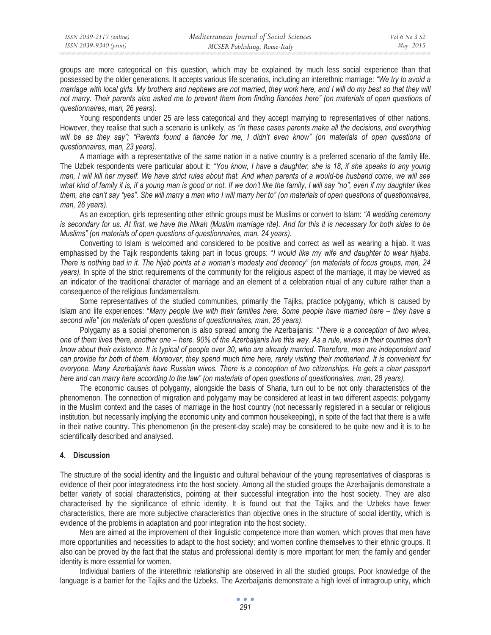groups are more categorical on this question, which may be explained by much less social experience than that possessed by the older generations. It accepts various life scenarios, including an interethnic marriage: *"We try to avoid a marriage with local girls. My brothers and nephews are not married, they work here, and I will do my best so that they will not marry. Their parents also asked me to prevent them from finding fiancées here" (on materials of open questions of questionnaires, man, 26 years)*.

Young respondents under 25 are less categorical and they accept marrying to representatives of other nations. However, they realise that such a scenario is unlikely, as *"in these cases parents make all the decisions, and everything*  will be as they say"; "Parents found a fiancée for me, I didn't even know" (on materials of open questions of *questionnaires, man, 23 years).* 

A marriage with a representative of the same nation in a native country is a preferred scenario of the family life. The Uzbek respondents were particular about it: *"You know, I have a daughter, she is 18, if she speaks to any young man, I will kill her myself. We have strict rules about that. And when parents of a would-be husband come, we will see what kind of family it is, if a young man is good or not. If we don't like the family, I will say "no", even if my daughter likes them, she can't say "yes". She will marry a man who I will marry her to" (on materials of open questions of questionnaires, man, 26 years).* 

As an exception, girls representing other ethnic groups must be Muslims or convert to Islam: *"A wedding ceremony is secondary for us. At first, we have the Nikah (Muslim marriage rite). And for this it is necessary for both sides to be Muslims" (on materials of open questions of questionnaires, man, 24 years).* 

Converting to Islam is welcomed and considered to be positive and correct as well as wearing a hijab. It was emphasised by the Tajik respondents taking part in focus groups: "*I would like my wife and daughter to wear hijabs. There is nothing bad in it. The hijab points at a woman's modesty and decency" (on materials of focus groups, man, 24 years).* In spite of the strict requirements of the community for the religious aspect of the marriage, it may be viewed as an indicator of the traditional character of marriage and an element of a celebration ritual of any culture rather than a consequence of the religious fundamentalism.

Some representatives of the studied communities, primarily the Tajiks, practice polygamy, which is caused by Islam and life experiences: "*Many people live with their families here. Some people have married here – they have a second wife" (on materials of open questions of questionnaires, man, 26 years)*.

Polygamy as a social phenomenon is also spread among the Azerbaijanis: *"There is a conception of two wives, one of them lives there, another one – here. 90% of the Azerbaijanis live this way. As a rule, wives in their countries don't know about their existence. It is typical of people over 30, who are already married. Therefore, men are independent and can provide for both of them. Moreover, they spend much time here, rarely visiting their motherland. It is convenient for everyone. Many Azerbaijanis have Russian wives. There is a conception of two citizenships. He gets a clear passport here and can marry here according to the law" (on materials of open questions of questionnaires, man, 28 years).* 

The economic causes of polygamy, alongside the basis of Sharia, turn out to be not only characteristics of the phenomenon. The connection of migration and polygamy may be considered at least in two different aspects: polygamy in the Muslim context and the cases of marriage in the host country (not necessarily registered in a secular or religious institution, but necessarily implying the economic unity and common housekeeping), in spite of the fact that there is a wife in their native country. This phenomenon (in the present-day scale) may be considered to be quite new and it is to be scientifically described and analysed.

## **4. Discussion**

The structure of the social identity and the linguistic and cultural behaviour of the young representatives of diasporas is evidence of their poor integratedness into the host society. Among all the studied groups the Azerbaijanis demonstrate a better variety of social characteristics, pointing at their successful integration into the host society. They are also characterised by the significance of ethnic identity. It is found out that the Tajiks and the Uzbeks have fewer characteristics, there are more subjective characteristics than objective ones in the structure of social identity, which is evidence of the problems in adaptation and poor integration into the host society.

Men are aimed at the improvement of their linguistic competence more than women, which proves that men have more opportunities and necessities to adapt to the host society; and women confine themselves to their ethnic groups. It also can be proved by the fact that the status and professional identity is more important for men; the family and gender identity is more essential for women.

Individual barriers of the interethnic relationship are observed in all the studied groups. Poor knowledge of the language is a barrier for the Tajiks and the Uzbeks. The Azerbaijanis demonstrate a high level of intragroup unity, which